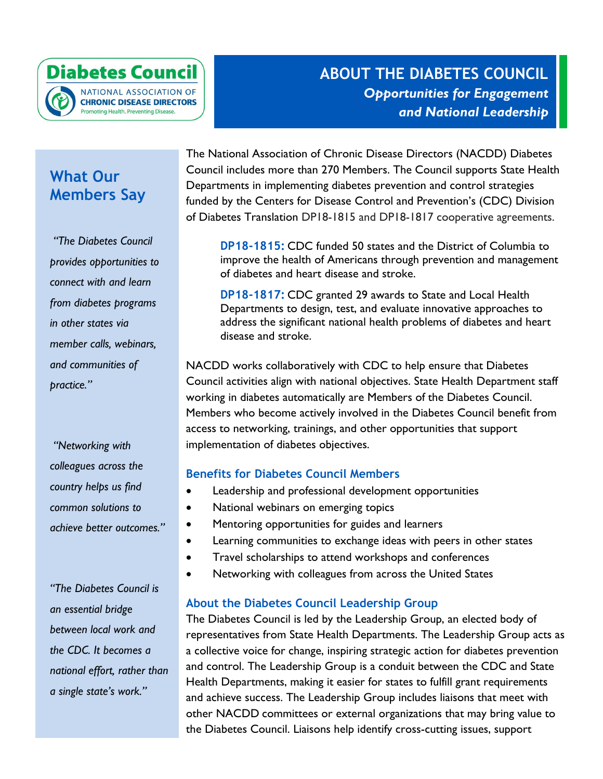

## **ABOUT THE DIABETES COUNCIL** *Opportunities for Engagement and National Leadership*

## **What Our Members Say**

*"The Diabetes Council provides opportunities to connect with and learn from diabetes programs in other states via member calls, webinars, and communities of practice."*

*"Networking with colleagues across the country helps us find common solutions to achieve better outcomes."*

*"The Diabetes Council is an essential bridge between local work and the CDC. It becomes a national effort, rather than a single state's work."*

The National Association of Chronic Disease Directors (NACDD) Diabetes Council includes more than 270 Members. The Council supports State Health Departments in implementing diabetes prevention and control strategies funded by the Centers for Disease Control and Prevention's (CDC) Division of Diabetes Translation DP18-1815 and DP18-1817 cooperative agreements.

**DP18-1815:** CDC funded 50 states and the District of Columbia to improve the health of Americans through prevention and management of diabetes and heart disease and stroke.

**DP18-1817:** CDC granted 29 awards to State and Local Health Departments to design, test, and evaluate innovative approaches to address the significant national health problems of diabetes and heart disease and stroke.

NACDD works collaboratively with CDC to help ensure that Diabetes Council activities align with national objectives. State Health Department staff working in diabetes automatically are Members of the Diabetes Council. Members who become actively involved in the Diabetes Council benefit from access to networking, trainings, and other opportunities that support implementation of diabetes objectives.

### **Benefits for Diabetes Council Members**

- Leadership and professional development opportunities
- National webinars on emerging topics
- Mentoring opportunities for guides and learners
- Learning communities to exchange ideas with peers in other states
- Travel scholarships to attend workshops and conferences
- Networking with colleagues from across the United States

#### **About the Diabetes Council Leadership Group**

The Diabetes Council is led by the Leadership Group, an elected body of representatives from State Health Departments. The Leadership Group acts as a collective voice for change, inspiring strategic action for diabetes prevention and control. The Leadership Group is a conduit between the CDC and State Health Departments, making it easier for states to fulfill grant requirements and achieve success. The Leadership Group includes liaisons that meet with other NACDD committees or external organizations that may bring value to the Diabetes Council. Liaisons help identify cross-cutting issues, support